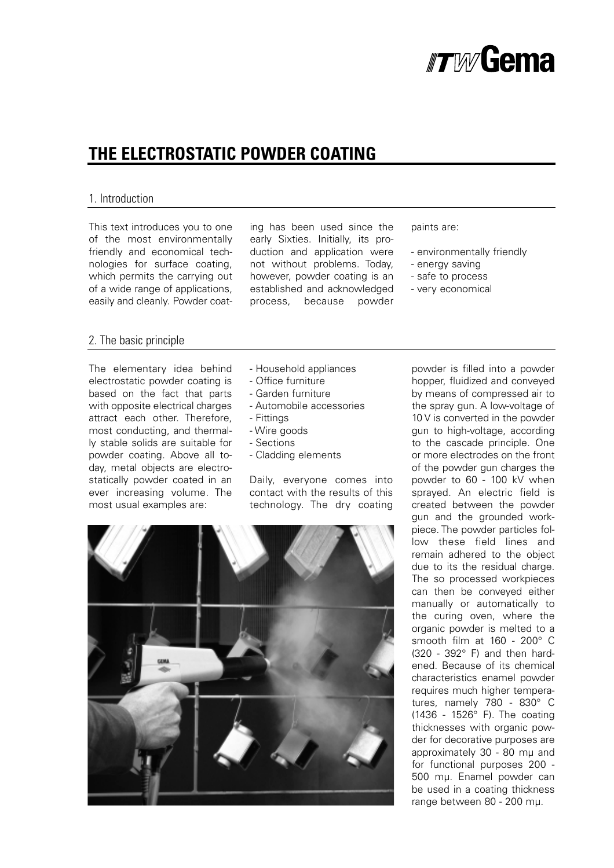

## **THE ELECTROSTATIC POWDER COATING**

#### 1. Introduction

This text introduces you to one of the most environmentally friendly and economical technologies for surface coating, which permits the carrying out of a wide range of applications, easily and cleanly. Powder coating has been used since the early Sixties. Initially, its production and application were not without problems. Today, however, powder coating is an established and acknowledged process, because powder

paints are:

- environmentally friendly
- energy saving
- safe to process
- very economical

#### 2. The basic principle

The elementary idea behind electrostatic powder coating is based on the fact that parts with opposite electrical charges attract each other. Therefore, most conducting, and thermally stable solids are suitable for powder coating. Above all today, metal objects are electrostatically powder coated in an ever increasing volume. The most usual examples are:

- Household appliances
- Office furniture
- Garden furniture
- Automobile accessories
- Fittings
- Wire goods
- Sections
- Cladding elements

Daily, everyone comes into contact with the results of this technology. The dry coating



powder is filled into a powder hopper, fluidized and conveyed by means of compressed air to the spray gun. A low-voltage of 10 V is converted in the powder gun to high-voltage, according to the cascade principle. One or more electrodes on the front of the powder gun charges the powder to 60 - 100 kV when sprayed. An electric field is created between the powder gun and the grounded workpiece. The powder particles follow these field lines and remain adhered to the object due to its the residual charge. The so processed workpieces can then be conveyed either manually or automatically to the curing oven, where the organic powder is melted to a smooth film at 160 - 200° C (320 - 392° F) and then hardened. Because of its chemical characteristics enamel powder requires much higher temperatures, namely 780 - 830° C (1436 - 1526° F). The coating thicknesses with organic powder for decorative purposes are approximately 30 - 80 mµ and for functional purposes 200 - 500 mµ. Enamel powder can be used in a coating thickness range between 80 - 200 mµ.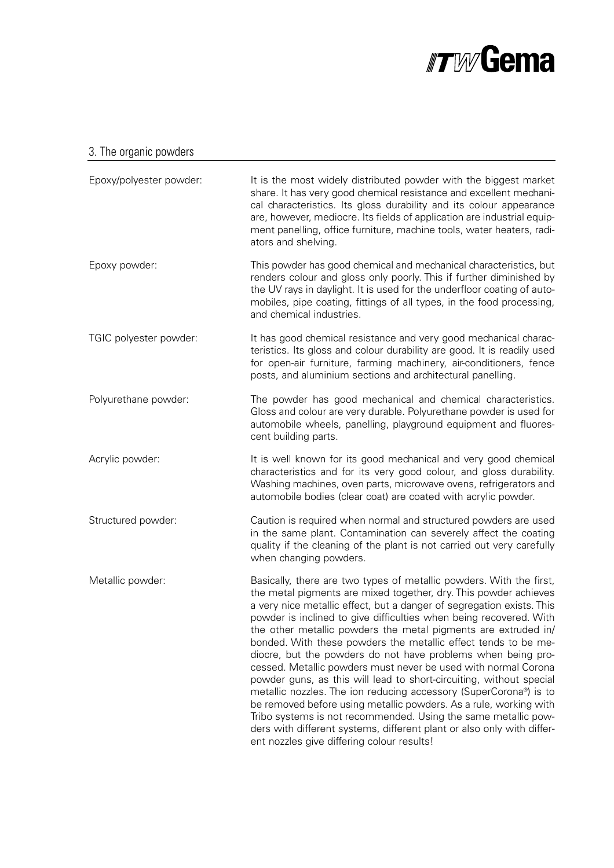

## 3. The organic powders

| Epoxy/polyester powder: | It is the most widely distributed powder with the biggest market<br>share. It has very good chemical resistance and excellent mechani-<br>cal characteristics. Its gloss durability and its colour appearance<br>are, however, mediocre. Its fields of application are industrial equip-<br>ment panelling, office furniture, machine tools, water heaters, radi-<br>ators and shelving.                                                                                                                                                                                                                                                                                                                                                                                                                                                                                                                                                                                |
|-------------------------|-------------------------------------------------------------------------------------------------------------------------------------------------------------------------------------------------------------------------------------------------------------------------------------------------------------------------------------------------------------------------------------------------------------------------------------------------------------------------------------------------------------------------------------------------------------------------------------------------------------------------------------------------------------------------------------------------------------------------------------------------------------------------------------------------------------------------------------------------------------------------------------------------------------------------------------------------------------------------|
| Epoxy powder:           | This powder has good chemical and mechanical characteristics, but<br>renders colour and gloss only poorly. This if further diminished by<br>the UV rays in daylight. It is used for the underfloor coating of auto-<br>mobiles, pipe coating, fittings of all types, in the food processing,<br>and chemical industries.                                                                                                                                                                                                                                                                                                                                                                                                                                                                                                                                                                                                                                                |
| TGIC polyester powder:  | It has good chemical resistance and very good mechanical charac-<br>teristics. Its gloss and colour durability are good. It is readily used<br>for open-air furniture, farming machinery, air-conditioners, fence<br>posts, and aluminium sections and architectural panelling.                                                                                                                                                                                                                                                                                                                                                                                                                                                                                                                                                                                                                                                                                         |
| Polyurethane powder:    | The powder has good mechanical and chemical characteristics.<br>Gloss and colour are very durable. Polyurethane powder is used for<br>automobile wheels, panelling, playground equipment and fluores-<br>cent building parts.                                                                                                                                                                                                                                                                                                                                                                                                                                                                                                                                                                                                                                                                                                                                           |
| Acrylic powder:         | It is well known for its good mechanical and very good chemical<br>characteristics and for its very good colour, and gloss durability.<br>Washing machines, oven parts, microwave ovens, refrigerators and<br>automobile bodies (clear coat) are coated with acrylic powder.                                                                                                                                                                                                                                                                                                                                                                                                                                                                                                                                                                                                                                                                                            |
| Structured powder:      | Caution is required when normal and structured powders are used<br>in the same plant. Contamination can severely affect the coating<br>quality if the cleaning of the plant is not carried out very carefully<br>when changing powders.                                                                                                                                                                                                                                                                                                                                                                                                                                                                                                                                                                                                                                                                                                                                 |
| Metallic powder:        | Basically, there are two types of metallic powders. With the first,<br>the metal pigments are mixed together, dry. This powder achieves<br>a very nice metallic effect, but a danger of segregation exists. This<br>powder is inclined to give difficulties when being recovered. With<br>the other metallic powders the metal pigments are extruded in/<br>bonded. With these powders the metallic effect tends to be me-<br>diocre, but the powders do not have problems when being pro-<br>cessed. Metallic powders must never be used with normal Corona<br>powder guns, as this will lead to short-circuiting, without special<br>metallic nozzles. The ion reducing accessory (SuperCorona®) is to<br>be removed before using metallic powders. As a rule, working with<br>Tribo systems is not recommended. Using the same metallic pow-<br>ders with different systems, different plant or also only with differ-<br>ent nozzles give differing colour results! |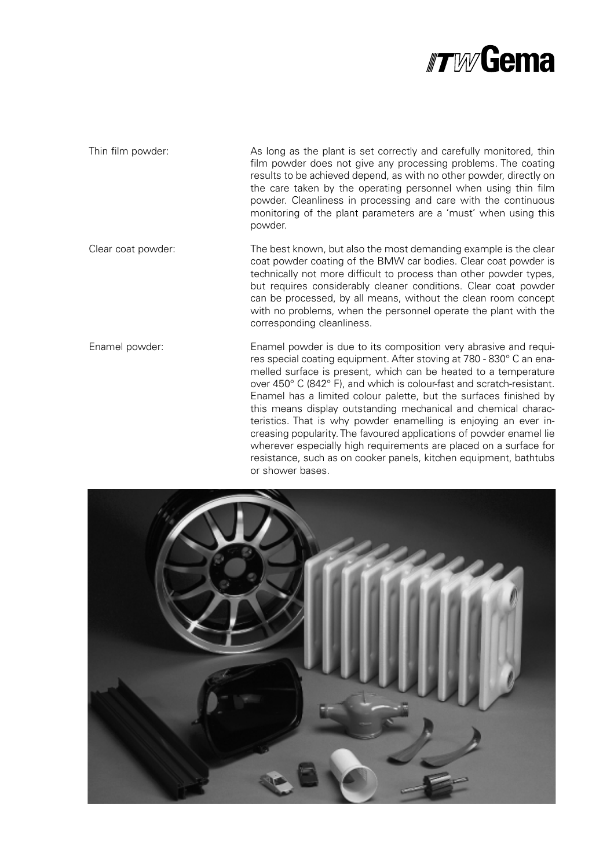

Thin film powder: As long as the plant is set correctly and carefully monitored, thin film powder does not give any processing problems. The coating results to be achieved depend, as with no other powder, directly on the care taken by the operating personnel when using thin film powder. Cleanliness in processing and care with the continuous monitoring of the plant parameters are a 'must' when using this powder.

Clear coat powder: The best known, but also the most demanding example is the clear coat powder coating of the BMW car bodies. Clear coat powder is technically not more difficult to process than other powder types, but requires considerably cleaner conditions. Clear coat powder can be processed, by all means, without the clean room concept with no problems, when the personnel operate the plant with the corresponding cleanliness.

Enamel powder: Enamel powder is due to its composition very abrasive and requires special coating equipment. After stoving at 780 - 830° C an enamelled surface is present, which can be heated to a temperature over 450° C (842° F), and which is colour-fast and scratch-resistant. Enamel has a limited colour palette, but the surfaces finished by this means display outstanding mechanical and chemical characteristics. That is why powder enamelling is enjoying an ever increasing popularity. The favoured applications of powder enamel lie wherever especially high requirements are placed on a surface for resistance, such as on cooker panels, kitchen equipment, bathtubs or shower bases.

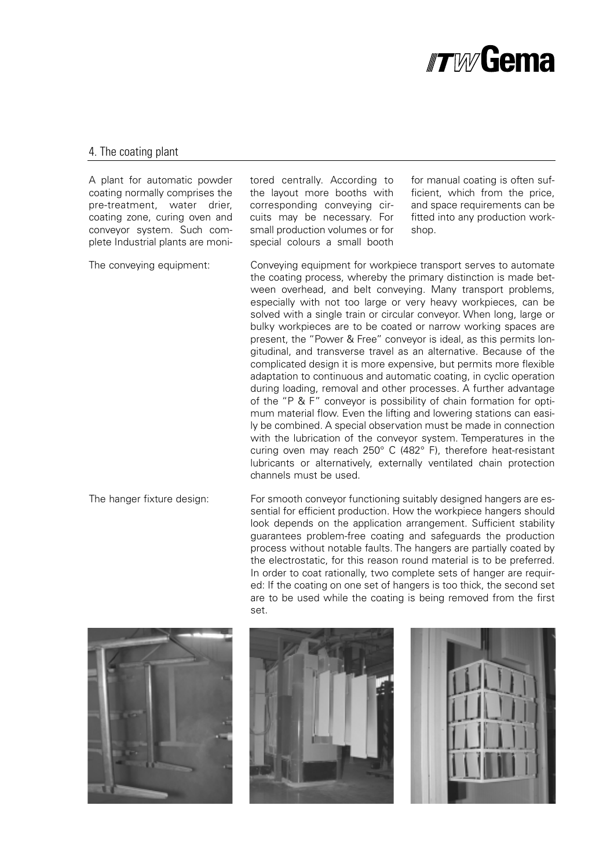

#### 4. The coating plant

A plant for automatic powder coating normally comprises the pre-treatment, water drier, coating zone, curing oven and conveyor system. Such complete Industrial plants are moni-

tored centrally. According to the layout more booths with corresponding conveying circuits may be necessary. For small production volumes or for special colours a small booth

for manual coating is often sufficient, which from the price, and space requirements can be fitted into any production workshop.

The conveying equipment: Conveying equipment for workpiece transport serves to automate the coating process, whereby the primary distinction is made between overhead, and belt conveying. Many transport problems, especially with not too large or very heavy workpieces, can be solved with a single train or circular convevor. When long, large or bulky workpieces are to be coated or narrow working spaces are present, the "Power & Free" conveyor is ideal, as this permits longitudinal, and transverse travel as an alternative. Because of the complicated design it is more expensive, but permits more flexible adaptation to continuous and automatic coating, in cyclic operation during loading, removal and other processes. A further advantage of the "P & F" conveyor is possibility of chain formation for optimum material flow. Even the lifting and lowering stations can easily be combined. A special observation must be made in connection with the lubrication of the conveyor system. Temperatures in the curing oven may reach 250° C (482° F), therefore heat-resistant lubricants or alternatively, externally ventilated chain protection channels must be used.

The hanger fixture design: For smooth conveyor functioning suitably designed hangers are essential for efficient production. How the workpiece hangers should look depends on the application arrangement. Sufficient stability guarantees problem-free coating and safeguards the production process without notable faults. The hangers are partially coated by the electrostatic, for this reason round material is to be preferred. In order to coat rationally, two complete sets of hanger are required: If the coating on one set of hangers is too thick, the second set are to be used while the coating is being removed from the first set.





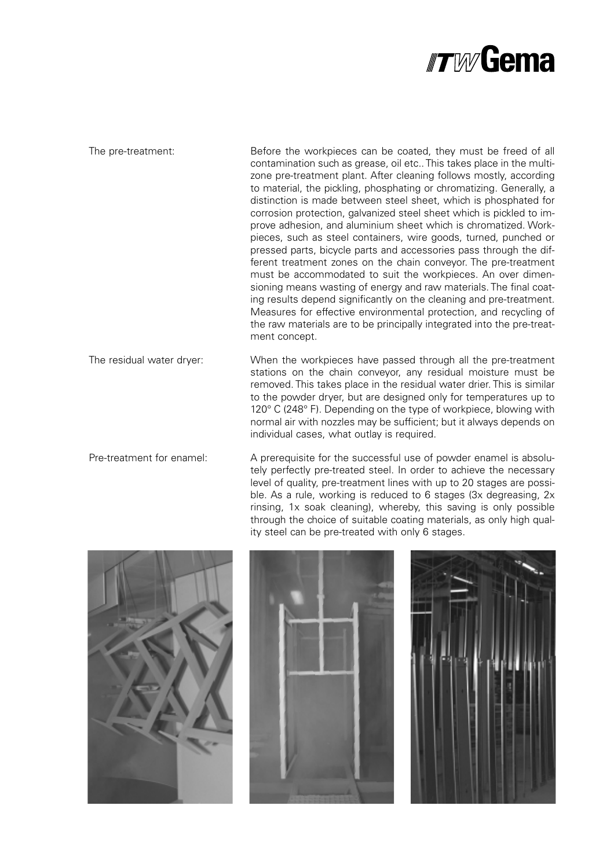

The pre-treatment: Before the workpieces can be coated, they must be freed of all contamination such as grease, oil etc.. This takes place in the multizone pre-treatment plant. After cleaning follows mostly, according to material, the pickling, phosphating or chromatizing. Generally, a distinction is made between steel sheet, which is phosphated for corrosion protection, galvanized steel sheet which is pickled to improve adhesion, and aluminium sheet which is chromatized. Workpieces, such as steel containers, wire goods, turned, punched or pressed parts, bicycle parts and accessories pass through the different treatment zones on the chain conveyor. The pre-treatment must be accommodated to suit the workpieces. An over dimensioning means wasting of energy and raw materials. The final coating results depend significantly on the cleaning and pre-treatment. Measures for effective environmental protection, and recycling of the raw materials are to be principally integrated into the pre-treatment concept.

The residual water dryer: When the workpieces have passed through all the pre-treatment stations on the chain conveyor, any residual moisture must be removed. This takes place in the residual water drier. This is similar to the powder dryer, but are designed only for temperatures up to 120° C (248° F). Depending on the type of workpiece, blowing with normal air with nozzles may be sufficient; but it always depends on individual cases, what outlay is required.

Pre-treatment for enamel: A prerequisite for the successful use of powder enamel is absolutely perfectly pre-treated steel. In order to achieve the necessary level of quality, pre-treatment lines with up to 20 stages are possible. As a rule, working is reduced to 6 stages (3x degreasing, 2x rinsing, 1x soak cleaning), whereby, this saving is only possible through the choice of suitable coating materials, as only high quality steel can be pre-treated with only 6 stages.





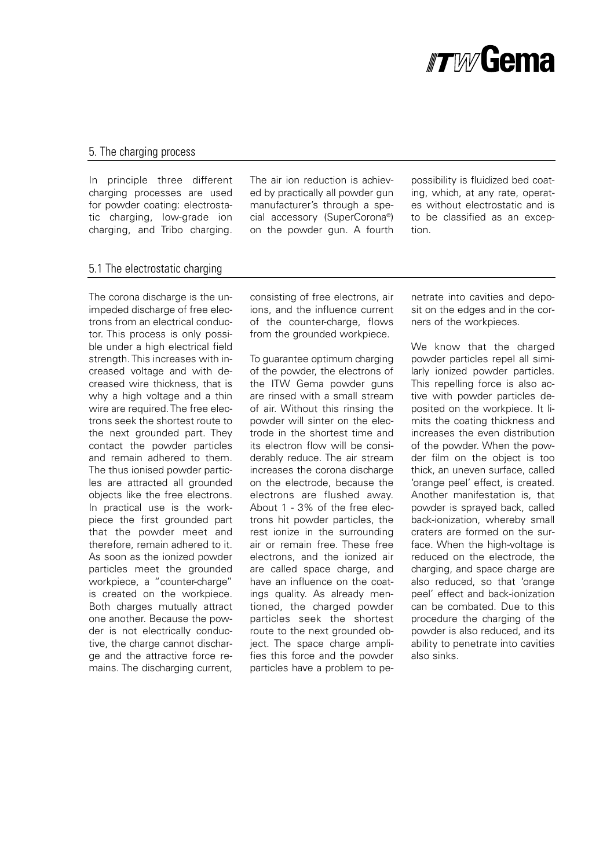

#### 5. The charging process

In principle three different charging processes are used for powder coating: electrostatic charging, low-grade ion charging, and Tribo charging.

The air ion reduction is achieved by practically all powder gun manufacturer's through a special accessory (SuperCorona®) on the powder gun. A fourth

possibility is fluidized bed coating, which, at any rate, operates without electrostatic and is to be classified as an exception.

#### 5.1 The electrostatic charging

The corona discharge is the unimpeded discharge of free electrons from an electrical conductor. This process is only possible under a high electrical field strength. This increases with increased voltage and with decreased wire thickness, that is why a high voltage and a thin wire are required. The free electrons seek the shortest route to the next grounded part. They contact the powder particles and remain adhered to them. The thus ionised powder particles are attracted all grounded objects like the free electrons. In practical use is the workpiece the first grounded part that the powder meet and therefore, remain adhered to it. As soon as the ionized powder particles meet the grounded workpiece, a "counter-charge" is created on the workpiece. Both charges mutually attract one another. Because the powder is not electrically conductive, the charge cannot discharge and the attractive force remains. The discharging current,

consisting of free electrons, air ions, and the influence current of the counter-charge, flows from the grounded workpiece.

To guarantee optimum charging of the powder, the electrons of the ITW Gema powder guns are rinsed with a small stream of air. Without this rinsing the powder will sinter on the electrode in the shortest time and its electron flow will be considerably reduce. The air stream increases the corona discharge on the electrode, because the electrons are flushed away. About 1 - 3% of the free electrons hit powder particles, the rest ionize in the surrounding air or remain free. These free electrons, and the ionized air are called space charge, and have an influence on the coatings quality. As already mentioned, the charged powder particles seek the shortest route to the next grounded object. The space charge amplifies this force and the powder particles have a problem to penetrate into cavities and deposit on the edges and in the corners of the workpieces.

We know that the charged powder particles repel all similarly ionized powder particles. This repelling force is also active with powder particles deposited on the workpiece. It limits the coating thickness and increases the even distribution of the powder. When the powder film on the object is too thick, an uneven surface, called 'orange peel' effect, is created. Another manifestation is, that powder is sprayed back, called back-ionization, whereby small craters are formed on the surface. When the high-voltage is reduced on the electrode, the charging, and space charge are also reduced, so that 'orange peel' effect and back-ionization can be combated. Due to this procedure the charging of the powder is also reduced, and its ability to penetrate into cavities also sinks.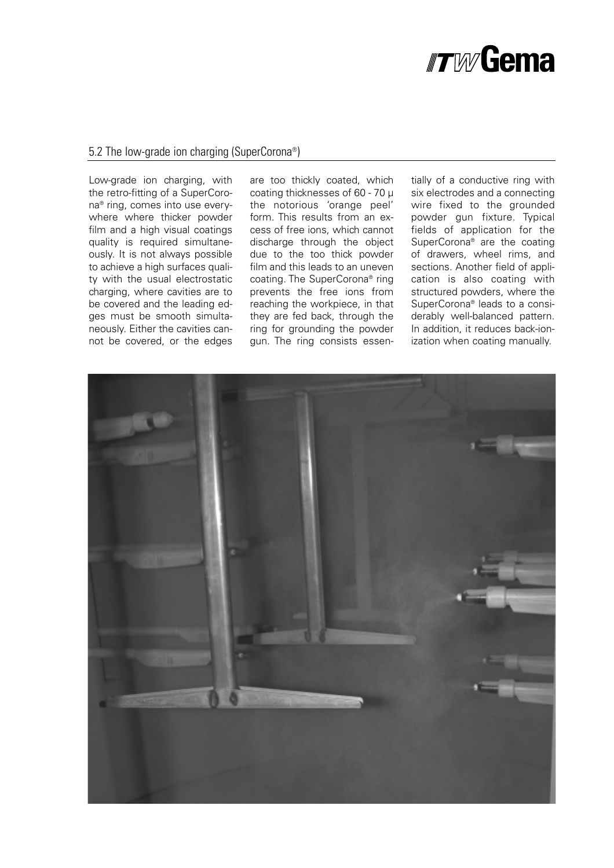# *#TWGema*

#### 5.2 The low-grade ion charging (SuperCorona®)

Low-grade ion charging, with the retro-fitting of a SuperCorona® ring, comes into use everywhere where thicker powder film and a high visual coatings quality is required simultaneously. It is not always possible to achieve a high surfaces quality with the usual electrostatic charging, where cavities are to be covered and the leading edges must be smooth simultaneously. Either the cavities cannot be covered, or the edges are too thickly coated, which coating thicknesses of 60 - 70 µ the notorious 'orange peel' form. This results from an excess of free ions, which cannot discharge through the object due to the too thick powder film and this leads to an uneven coating. The SuperCorona® ring prevents the free ions from reaching the workpiece, in that they are fed back, through the ring for grounding the powder gun. The ring consists essen-

tially of a conductive ring with six electrodes and a connecting wire fixed to the grounded powder gun fixture. Typical fields of application for the SuperCorona® are the coating of drawers, wheel rims, and sections. Another field of application is also coating with structured powders, where the SuperCorona® leads to a considerably well-balanced pattern. In addition, it reduces back-ionization when coating manually.

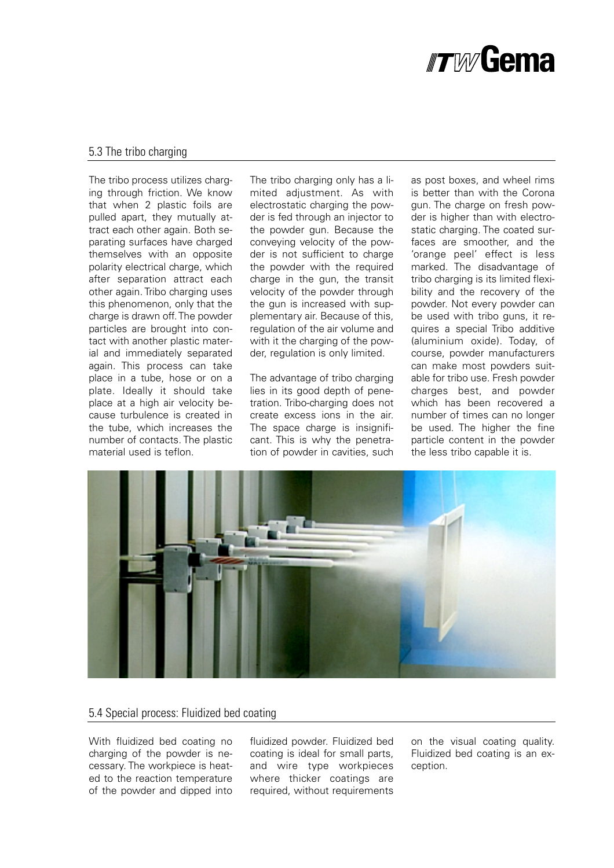

#### 5.3 The tribo charging

The tribo process utilizes charging through friction. We know that when 2 plastic foils are pulled apart, they mutually attract each other again. Both separating surfaces have charged themselves with an opposite polarity electrical charge, which after separation attract each other again. Tribo charging uses this phenomenon, only that the charge is drawn off. The powder particles are brought into contact with another plastic material and immediately separated again. This process can take place in a tube, hose or on a plate. Ideally it should take place at a high air velocity because turbulence is created in the tube, which increases the number of contacts. The plastic material used is teflon.

The tribo charging only has a limited adjustment. As with electrostatic charging the powder is fed through an injector to the powder gun. Because the conveying velocity of the powder is not sufficient to charge the powder with the required charge in the gun, the transit velocity of the powder through the gun is increased with supplementary air. Because of this, regulation of the air volume and with it the charging of the powder, regulation is only limited.

The advantage of tribo charging lies in its good depth of penetration. Tribo-charging does not create excess ions in the air. The space charge is insignificant. This is why the penetration of powder in cavities, such

as post boxes, and wheel rims is better than with the Corona gun. The charge on fresh powder is higher than with electrostatic charging. The coated surfaces are smoother, and the 'orange peel' effect is less marked. The disadvantage of tribo charging is its limited flexibility and the recovery of the powder. Not every powder can be used with tribo guns, it requires a special Tribo additive (aluminium oxide). Today, of course, powder manufacturers can make most powders suitable for tribo use. Fresh powder charges best, and powder which has been recovered a number of times can no longer be used. The higher the fine particle content in the powder the less tribo capable it is.



#### 5.4 Special process: Fluidized bed coating

With fluidized bed coating no charging of the powder is necessary. The workpiece is heated to the reaction temperature of the powder and dipped into fluidized powder. Fluidized bed coating is ideal for small parts, and wire type workpieces where thicker coatings are required, without requirements

on the visual coating quality. Fluidized bed coating is an exception.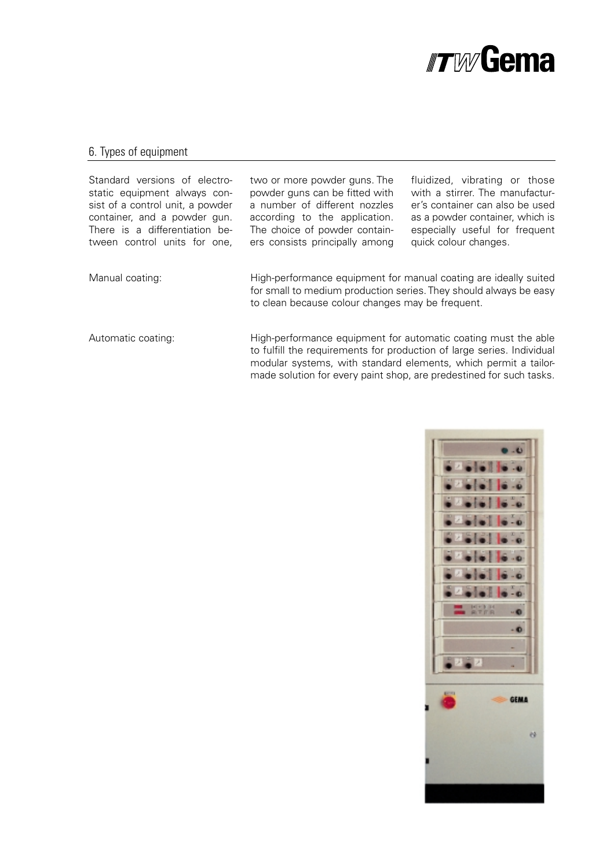

### 6. Types of equipment

| Standard versions of electro-<br>static equipment always con-<br>sist of a control unit, a powder<br>container, and a powder gun.<br>There is a differentiation be-<br>tween control units for one. | two or more powder guns. The<br>powder guns can be fitted with<br>a number of different nozzles<br>according to the application.<br>The choice of powder contain-<br>ers consists principally among         | fluidized, vibrating or those<br>with a stirrer. The manufactur-<br>er's container can also be used<br>as a powder container, which is<br>especially useful for frequent<br>quick colour changes. |
|-----------------------------------------------------------------------------------------------------------------------------------------------------------------------------------------------------|-------------------------------------------------------------------------------------------------------------------------------------------------------------------------------------------------------------|---------------------------------------------------------------------------------------------------------------------------------------------------------------------------------------------------|
| Manual coating:                                                                                                                                                                                     | High-performance equipment for manual coating are ideally suited<br>for small to medium production series. They should always be easy<br>to clean because colour changes may be frequent.                   |                                                                                                                                                                                                   |
| Automatic coating:                                                                                                                                                                                  | High-performance equipment for automatic coating must the able<br>to fulfill the requirements for production of large series. Individual<br>modular systems, with standard elements, which permit a tailor- |                                                                                                                                                                                                   |

made solution for every paint shop, are predestined for such tasks.

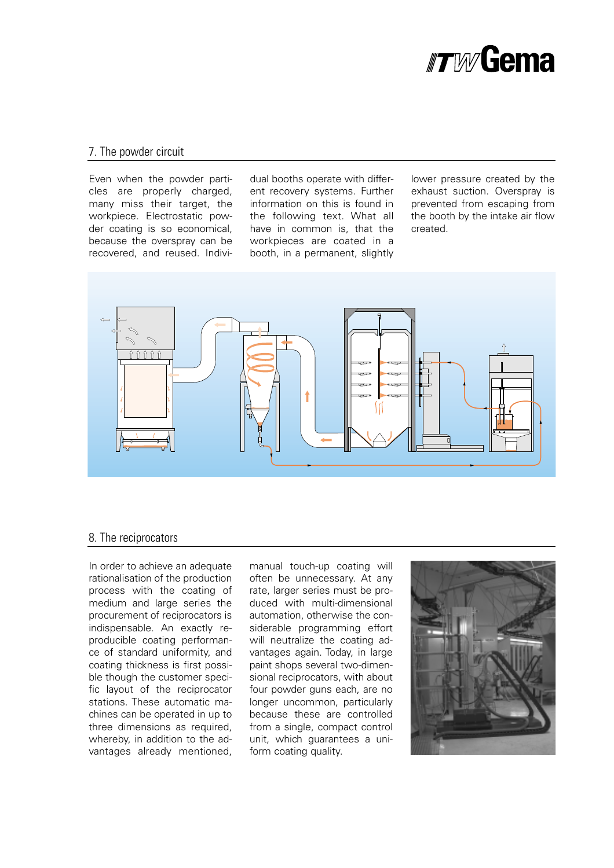

#### 7. The powder circuit

Even when the powder particles are properly charged, many miss their target, the workpiece. Electrostatic powder coating is so economical, because the overspray can be recovered, and reused. Individual booths operate with different recovery systems. Further information on this is found in the following text. What all have in common is, that the workpieces are coated in a booth, in a permanent, slightly

lower pressure created by the exhaust suction. Overspray is prevented from escaping from the booth by the intake air flow created.



#### 8. The reciprocators

In order to achieve an adequate rationalisation of the production process with the coating of medium and large series the procurement of reciprocators is indispensable. An exactly reproducible coating performance of standard uniformity, and coating thickness is first possible though the customer specific layout of the reciprocator stations. These automatic machines can be operated in up to three dimensions as required, whereby, in addition to the advantages already mentioned,

manual touch-up coating will often be unnecessary. At any rate, larger series must be produced with multi-dimensional automation, otherwise the considerable programming effort will neutralize the coating advantages again. Today, in large paint shops several two-dimensional reciprocators, with about four powder guns each, are no longer uncommon, particularly because these are controlled from a single, compact control unit, which guarantees a uniform coating quality.